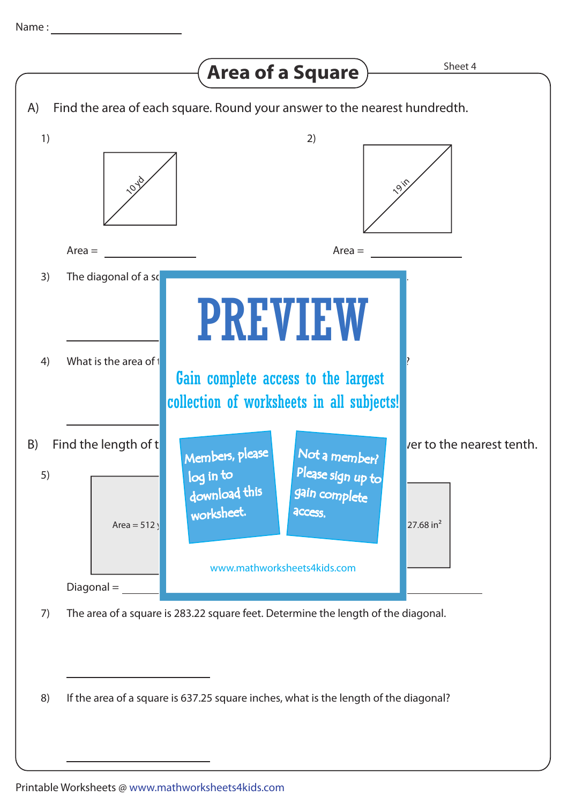